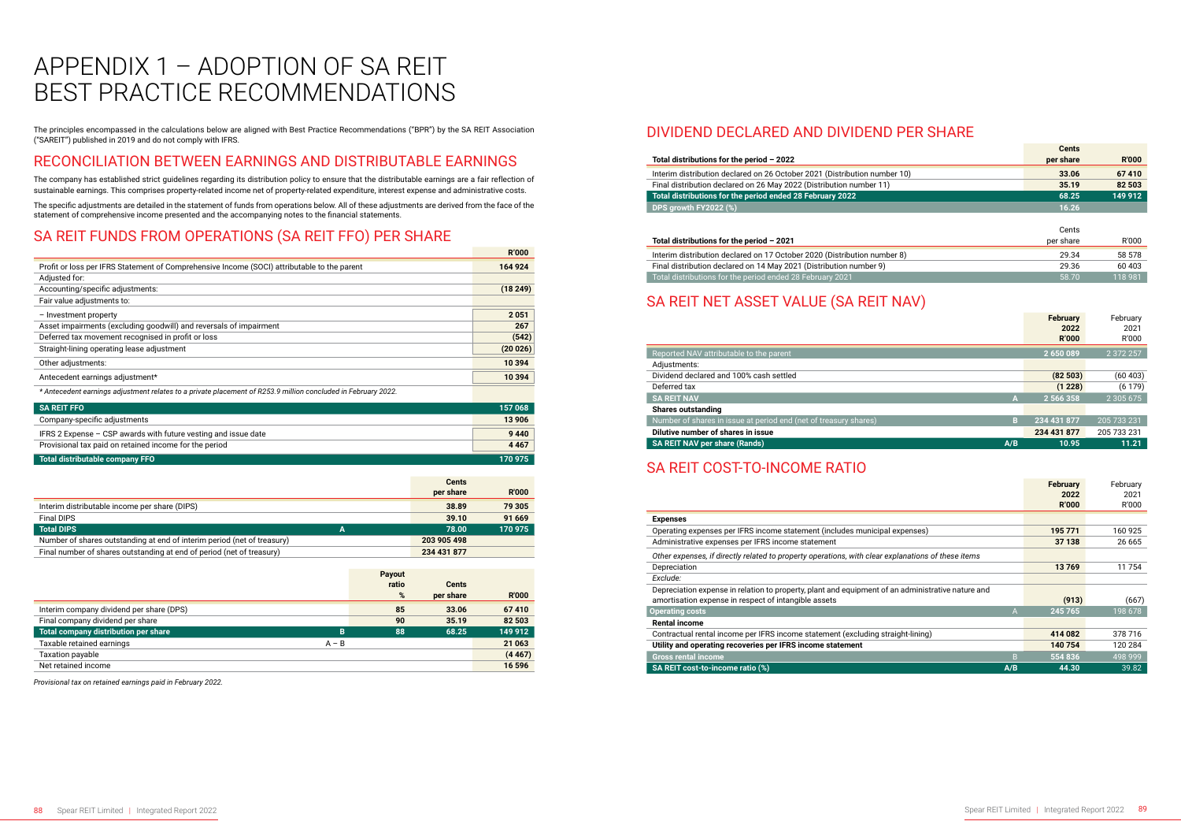The principles encompassed in the calculations below are aligned with Best Practice Recommendations ("BPR") by the SA REIT Association ("SAREIT") published in 2019 and do not comply with IFRS.

#### RECONCILIATION BETWEEN EARNINGS AND DISTRIBUTABLE EARNINGS

The company has established strict guidelines regarding its distribution policy to ensure that the distributable earnings are a fair reflection of sustainable earnings. This comprises property-related income net of property-related expenditure, interest expense and administrative costs.

The specific adjustments are detailed in the statement of funds from operations below. All of these adjustments are derived from the face of the statement of comprehensive income presented and the accompanying notes to the financial statements.

### SA REIT FUNDS FROM OPERATIONS (SA REIT FFO) PER SHARE

|                                                                                                               | <b>R'000</b> |
|---------------------------------------------------------------------------------------------------------------|--------------|
| Profit or loss per IFRS Statement of Comprehensive Income (SOCI) attributable to the parent                   | 164 924      |
| Adjusted for:                                                                                                 |              |
| Accounting/specific adjustments:                                                                              | (18249)      |
| Fair value adjustments to:                                                                                    |              |
| - Investment property                                                                                         | 2051         |
| Asset impairments (excluding goodwill) and reversals of impairment                                            | 267          |
| Deferred tax movement recognised in profit or loss                                                            | (542)        |
| Straight-lining operating lease adjustment                                                                    | (20026)      |
| Other adjustments:                                                                                            | 10 394       |
| Antecedent earnings adjustment*                                                                               | 10 394       |
| * Antecedent earnings adjustment relates to a private placement of R253.9 million concluded in February 2022. |              |

| <b>SA REIT FFO</b>                                               | 157 068 |
|------------------------------------------------------------------|---------|
| Company-specific adjustments                                     | 13 906  |
| IFRS 2 Expense $-$ CSP awards with future vesting and issue date | 9440    |
| Provisional tax paid on retained income for the period           | 4 4 6 7 |
| Total distributable company FFO                                  | 170 975 |

|                                                                         |   | <b>Cents</b><br>per share | <b>R'000</b> |
|-------------------------------------------------------------------------|---|---------------------------|--------------|
| Interim distributable income per share (DIPS)                           |   | 38.89                     | 79 305       |
| <b>Final DIPS</b>                                                       |   | 39.10                     | 91 669       |
| <b>Total DIPS</b>                                                       | А | 78.00                     | 170 975      |
| Number of shares outstanding at end of interim period (net of treasury) |   | 203 905 498               |              |
| Final number of shares outstanding at end of period (net of treasury)   |   | 234 431 877               |              |

|                                           | <b>Payout</b> |              |              |
|-------------------------------------------|---------------|--------------|--------------|
|                                           | ratio         | <b>Cents</b> |              |
|                                           | %             | per share    | <b>R'000</b> |
| Interim company dividend per share (DPS)  | 85            | 33.06        | 67410        |
| Final company dividend per share          | 90            | 35.19        | 82 503       |
| Total company distribution per share<br>в | 88            | 68.25        | 149 912      |
| Taxable retained earnings<br>$A - B$      |               |              | 21 0 63      |
| Taxation payable                          |               |              | (4467)       |
| Net retained income                       |               |              | 16 596       |

*Provisional tax on retained earnings paid in February 2022.* 

# APPENDIX 1 – ADOPTION OF SA REIT BEST PRACTICE RECOMMENDATIONS

#### DIVIDEND DECLARED AND DIVIDEND PER SHARE

#### **Total distributions for the period – 2022**

Interim distribution declared on 26 October 2021 (Distribution number Final distribution declared on 26 May 2022 (Distribution number 11) **35.19 82 503 Total distributions for the period ended 28 February 2022 DPS growth FY2022 (%)** 

|        | <b>Cents</b> |              |
|--------|--------------|--------------|
|        | per share    | <b>R'000</b> |
| er 10) | 33.06        | 67410        |
|        | 35.19        | 82 503       |
|        | 68.25        | 149 912      |
|        | 16.26        |              |
|        |              |              |
|        | Cents        |              |
|        | per share    | R'000        |
| er 8)  | 29.34        | 58 578       |
|        | 29.36        | 60 403       |
|        | 58.70        | 118 981      |
|        |              |              |

#### **Total distributions for the period – 2021**

Interim distribution declared on 17 October 2020 (Distribution number Final distribution declared on 14 May 2021 (Distribution number 9) Total distributions for the period ended 28 February 2021

#### SA REIT NET ASSET VALUE (SA REIT NAV)

|                                                                  |     | <b>February</b><br>2022<br><b>R'000</b> | February<br>2021<br>R'000 |
|------------------------------------------------------------------|-----|-----------------------------------------|---------------------------|
| Reported NAV attributable to the parent                          |     | 2650089                                 | 2 372 257                 |
| Adjustments:                                                     |     |                                         |                           |
| Dividend declared and 100% cash settled                          |     | (82503)                                 | (60 403)                  |
| Deferred tax                                                     |     | (1 228)                                 | (6179)                    |
| <b>SA REIT NAV</b>                                               | A   | 2 566 358                               | 2 3 0 5 6 7 5             |
| <b>Shares outstanding</b>                                        |     |                                         |                           |
| Number of shares in issue at period end (net of treasury shares) | в   | 234 431 877                             | 205 733 231               |
| Dilutive number of shares in issue                               |     | 234 431 877                             | 205 733 231               |
| <b>SA REIT NAV per share (Rands)</b>                             | A/B | 10.95                                   | 11.21                     |

#### SA REIT COST-TO-INCOME RATIO

|                                                                                                                                                           | <b>February</b><br>2022<br><b>R'000</b> | February<br>2021<br>R'000 |
|-----------------------------------------------------------------------------------------------------------------------------------------------------------|-----------------------------------------|---------------------------|
| <b>Expenses</b>                                                                                                                                           |                                         |                           |
| Operating expenses per IFRS income statement (includes municipal expenses)                                                                                | 195 771                                 | 160 925                   |
| Administrative expenses per IFRS income statement                                                                                                         | 37 138                                  | 26 665                    |
| Other expenses, if directly related to property operations, with clear explanations of these items                                                        |                                         |                           |
| Depreciation                                                                                                                                              | 13769                                   | 11754                     |
| Exclude:                                                                                                                                                  |                                         |                           |
| Depreciation expense in relation to property, plant and equipment of an administrative nature and<br>amortisation expense in respect of intangible assets | (913)                                   | (667)                     |
| <b>Operating costs</b><br>A                                                                                                                               | 245 765                                 | 198 678                   |
| <b>Rental income</b>                                                                                                                                      |                                         |                           |
| Contractual rental income per IFRS income statement (excluding straight-lining)                                                                           | 414 082                                 | 378 716                   |
| Utility and operating recoveries per IFRS income statement                                                                                                | 140 754                                 | 120 284                   |
| <b>Gross rental income</b><br>B                                                                                                                           | 554 836                                 | 498 999                   |
| SA REIT cost-to-income ratio (%)<br>A/B                                                                                                                   | 44.30                                   | 39.82                     |

| Utility and operating r |  |
|-------------------------|--|
|-------------------------|--|